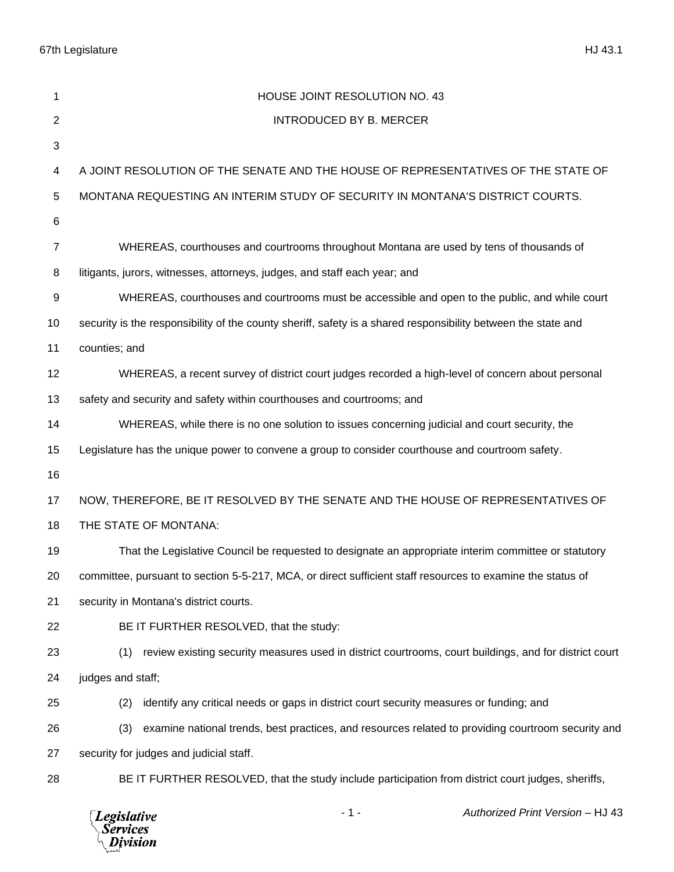67th Legislature HJ 43.1

| 1              | HOUSE JOINT RESOLUTION NO. 43                                                                                 |
|----------------|---------------------------------------------------------------------------------------------------------------|
| $\mathbf{2}$   | <b>INTRODUCED BY B. MERCER</b>                                                                                |
| 3              |                                                                                                               |
| 4              | A JOINT RESOLUTION OF THE SENATE AND THE HOUSE OF REPRESENTATIVES OF THE STATE OF                             |
| 5              | MONTANA REQUESTING AN INTERIM STUDY OF SECURITY IN MONTANA'S DISTRICT COURTS.                                 |
| 6              |                                                                                                               |
| $\overline{7}$ | WHEREAS, courthouses and courtrooms throughout Montana are used by tens of thousands of                       |
| 8              | litigants, jurors, witnesses, attorneys, judges, and staff each year; and                                     |
| 9              | WHEREAS, courthouses and courtrooms must be accessible and open to the public, and while court                |
| 10             | security is the responsibility of the county sheriff, safety is a shared responsibility between the state and |
| 11             | counties; and                                                                                                 |
| 12             | WHEREAS, a recent survey of district court judges recorded a high-level of concern about personal             |
| 13             | safety and security and safety within courthouses and courtrooms; and                                         |
| 14             | WHEREAS, while there is no one solution to issues concerning judicial and court security, the                 |
| 15             | Legislature has the unique power to convene a group to consider courthouse and courtroom safety.              |
| 16             |                                                                                                               |
| 17             | NOW, THEREFORE, BE IT RESOLVED BY THE SENATE AND THE HOUSE OF REPRESENTATIVES OF                              |
| 18             | THE STATE OF MONTANA:                                                                                         |
| 19             | That the Legislative Council be requested to designate an appropriate interim committee or statutory          |
| 20             | committee, pursuant to section 5-5-217, MCA, or direct sufficient staff resources to examine the status of    |
| 21             | security in Montana's district courts.                                                                        |
| 22             | BE IT FURTHER RESOLVED, that the study:                                                                       |
| 23             | review existing security measures used in district courtrooms, court buildings, and for district court<br>(1) |
| 24             | judges and staff;                                                                                             |
| 25             | identify any critical needs or gaps in district court security measures or funding; and<br>(2)                |
| 26             | (3)<br>examine national trends, best practices, and resources related to providing courtroom security and     |
| 27             | security for judges and judicial staff.                                                                       |
| 28             | BE IT FURTHER RESOLVED, that the study include participation from district court judges, sheriffs,            |
|                |                                                                                                               |